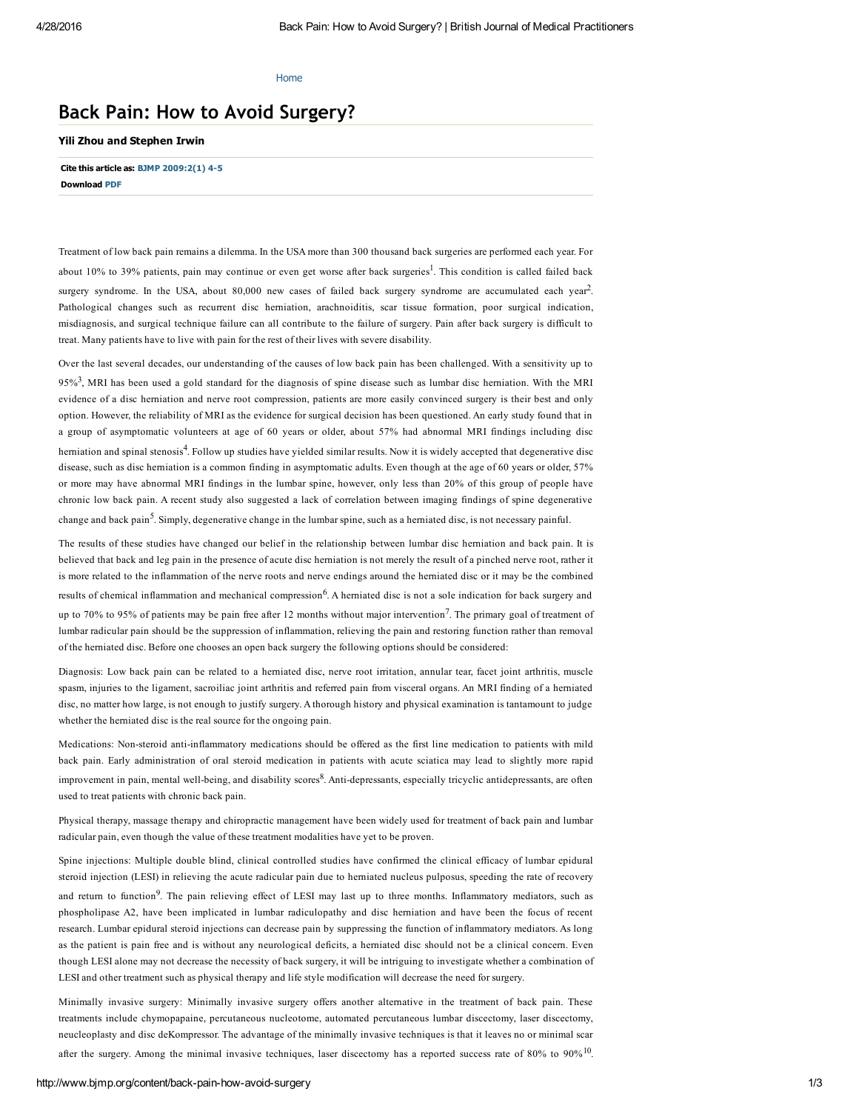### [Home](http://www.bjmp.org/)

# Back Pain: How to Avoid Surgery?

## Yili Zhou and Stephen Irwin

Cite this article as: BJMP [2009:2\(1\)](http://www.bjmp.org/files/march2009/bjmp0309zhou.pdf) 4-5 Download [PDF](http://www.bjmp.org/files/march2009/bjmp0309zhou.pdf)

Treatment of low back pain remains a dilemma. In the USA more than 300 thousand back surgeries are performed each year. For about 10% to 39% patients, pain may continue or even get worse after back surgeries<sup>1</sup>. This condition is called failed back surgery syndrome. In the USA, about 80,000 new cases of failed back surgery syndrome are accumulated each year<sup>2</sup>. Pathological changes such as recurrent disc herniation, arachnoiditis, scar tissue formation, poor surgical indication, misdiagnosis, and surgical technique failure can all contribute to the failure of surgery. Pain after back surgery is difficult to treat. Many patients have to live with pain for the rest of their lives with severe disability.

Over the last several decades, our understanding of the causes of low back pain has been challenged. With a sensitivity up to  $95\%$ <sup>3</sup>, MRI has been used a gold standard for the diagnosis of spine disease such as lumbar disc hemiation. With the MRI evidence of a disc herniation and nerve root compression, patients are more easily convinced surgery is their best and only option. However, the reliability of MRI as the evidence for surgical decision has been questioned. An early study found that in a group of asymptomatic volunteers at age of 60 years or older, about 57% had abnormal MRI findings including disc hemiation and spinal stenosis<sup>4</sup>. Follow up studies have yielded similar results. Now it is widely accepted that degenerative disc disease, such as disc herniation is a common finding in asymptomatic adults. Even though at the age of 60 years or older, 57% or more may have abnormal MRI findings in the lumbar spine, however, only less than 20% of this group of people have chronic low back pain. A recent study also suggested a lack of correlation between imaging findings of spine degenerative change and back pain<sup>5</sup>. Simply, degenerative change in the lumbar spine, such as a herniated disc, is not necessary painful.

The results of these studies have changed our belief in the relationship between lumbar disc herniation and back pain. It is believed that back and leg pain in the presence of acute disc herniation is not merely the result of a pinched nerve root, rather it is more related to the inflammation of the nerve roots and nerve endings around the herniated disc or it may be the combined results of chemical inflammation and mechanical compression<sup>6</sup>. A herniated disc is not a sole indication for back surgery and up to 70% to 95% of patients may be pain free after 12 months without major intervention<sup>7</sup>. The primary goal of treatment of lumbar radicular pain should be the suppression of inflammation, relieving the pain and restoring function rather than removal of the herniated disc. Before one chooses an open back surgery the following options should be considered:

Diagnosis: Low back pain can be related to a herniated disc, nerve root irritation, annular tear, facet joint arthritis, muscle spasm, injuries to the ligament, sacroiliac joint arthritis and referred pain from visceral organs. An MRI finding of a herniated disc, no matter how large, is not enough to justify surgery. A thorough history and physical examination is tantamount to judge whether the herniated disc is the real source for the ongoing pain.

Medications: Non-steroid anti-inflammatory medications should be offered as the first line medication to patients with mild back pain. Early administration of oral steroid medication in patients with acute sciatica may lead to slightly more rapid improvement in pain, mental well-being, and disability scores<sup>8</sup>. Anti-depressants, especially tricyclic antidepressants, are often used to treat patients with chronic back pain.

Physical therapy, massage therapy and chiropractic management have been widely used for treatment of back pain and lumbar radicular pain, even though the value of these treatment modalities have yet to be proven.

Spine injections: Multiple double blind, clinical controlled studies have confirmed the clinical efficacy of lumbar epidural steroid injection (LESI) in relieving the acute radicular pain due to herniated nucleus pulposus, speeding the rate of recovery and return to function<sup>9</sup>. The pain relieving effect of LESI may last up to three months. Inflammatory mediators, such as phospholipase A2, have been implicated in lumbar radiculopathy and disc herniation and have been the focus of recent research. Lumbar epidural steroid injections can decrease pain by suppressing the function of inflammatory mediators. As long as the patient is pain free and is without any neurological deficits, a herniated disc should not be a clinical concern. Even though LESI alone may not decrease the necessity of back surgery, it will be intriguing to investigate whether a combination of LESI and other treatment such as physical therapy and life style modification will decrease the need for surgery.

Minimally invasive surgery: Minimally invasive surgery offers another alternative in the treatment of back pain. These treatments include chymopapaine, percutaneous nucleotome, automated percutaneous lumbar discectomy, laser discectomy, neucleoplasty and disc deKompressor. The advantage of the minimally invasive techniques is that it leaves no or minimal scar after the surgery. Among the minimal invasive techniques, laser discectomy has a reported success rate of 80% to  $90\%$ <sup>10</sup>.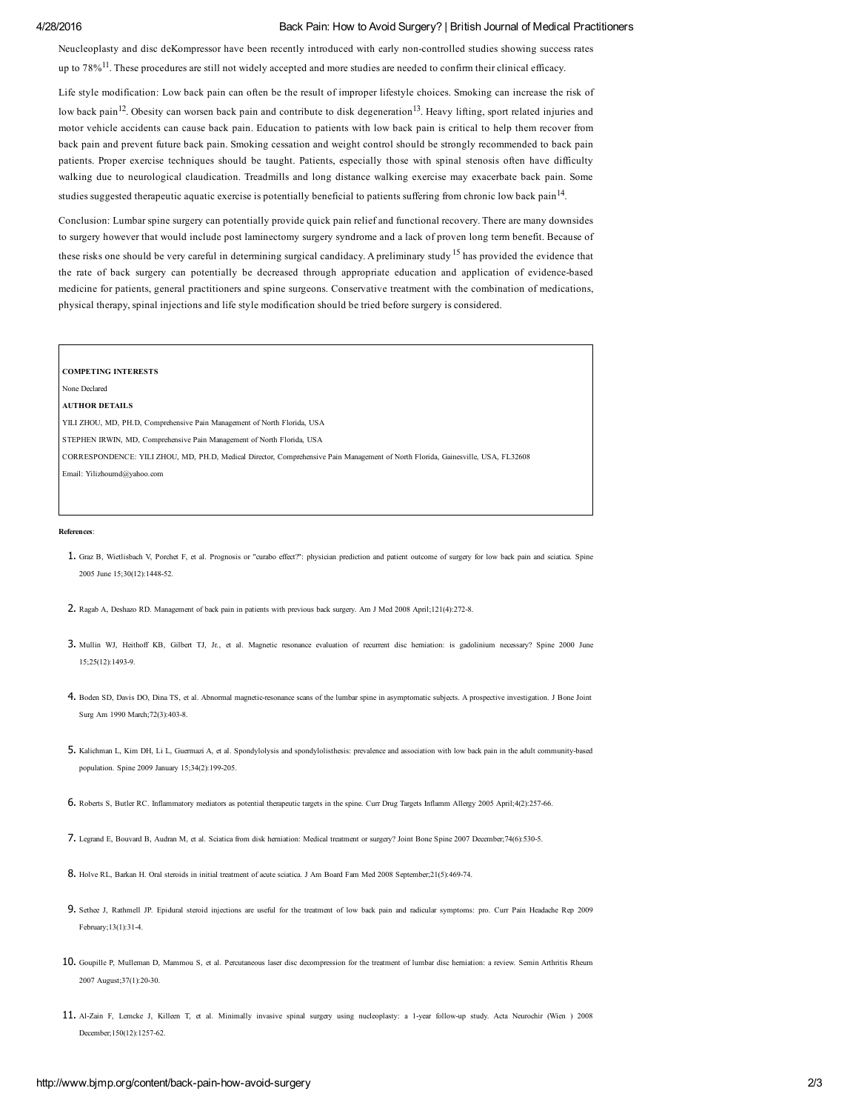## 4/28/2016 Back Pain: How to Avoid Surgery? | British Journal of Medical Practitioners

Neucleoplasty and disc deKompressor have been recently introduced with early noncontrolled studies showing success rates up to  $78\%$ <sup>11</sup>. These procedures are still not widely accepted and more studies are needed to confirm their clinical efficacy.

Life style modification: Low back pain can often be the result of improper lifestyle choices. Smoking can increase the risk of low back pain<sup>12</sup>. Obesity can worsen back pain and contribute to disk degeneration<sup>13</sup>. Heavy lifting, sport related injuries and motor vehicle accidents can cause back pain. Education to patients with low back pain is critical to help them recover from back pain and prevent future back pain. Smoking cessation and weight control should be strongly recommended to back pain patients. Proper exercise techniques should be taught. Patients, especially those with spinal stenosis often have difficulty walking due to neurological claudication. Treadmills and long distance walking exercise may exacerbate back pain. Some studies suggested therapeutic aquatic exercise is potentially beneficial to patients suffering from chronic low back pain<sup>14</sup>.

Conclusion: Lumbar spine surgery can potentially provide quick pain relief and functional recovery. There are many downsides to surgery however that would include post laminectomy surgery syndrome and a lack of proven long term benefit. Because of these risks one should be very careful in determining surgical candidacy. A preliminary study <sup>15</sup> has provided the evidence that the rate of back surgery can potentially be decreased through appropriate education and application of evidence-based medicine for patients, general practitioners and spine surgeons. Conservative treatment with the combination of medications,

#### COMPETING INTERESTS

None Declared

AUTHOR DETAILS

YILI ZHOU, MD, PH.D, Comprehensive Pain Management of North Florida, USA

STEPHEN IRWIN, MD, Comprehensive Pain Management of North Florida, USA

CORRESPONDENCE: YILI ZHOU, MD, PH.D, Medical Director, Comprehensive Pain Management of North Florida, Gainesville, USA, FL32608

physical therapy, spinal injections and life style modification should be tried before surgery is considered.

Email: Yilizhoumd@yahoo.com

#### References:

- 1. Graz B, Wietlisbach V, Porchet F, et al. Prognosis or "curabo effect?": physician prediction and patient outcome of surgery for low back pain and sciatica. Spine 2005 June 15:30(12):1448-52
- 2. Ragab A, Deshazo RD. Management of back pain in patients with previous back surgery. Am J Med 2008 April;121(4):2728.
- 3. Mullin WJ, Heithoff KB, Gilbert TJ, Jr., et al. Magnetic resonance evaluation of recurrent disc herniation: is gadolinium necessary? Spine 2000 June 15;25(12):14939.
- 4. Boden SD, Davis DO, Dina TS, et al. Abnormal magneticresonance scans of the lumbar spine in asymptomatic subjects. A prospective investigation. J Bone Joint Surg Am 1990 March; 72(3): 403-8.
- 5. Kalichman L, Kim DH, Li L, Guermazi A, et al. Spondylolysis and spondylolisthesis: prevalence and association with low back pain in the adult communitybased population. Spine  $2009$  January  $15:34(2):199-205$
- 6. Roberts S, Butler RC. Inflammatory mediators as potential therapeutic targets in the spine. Curr Drug Targets Inflamm Allergy 2005 April;4(2):25766.
- 7. Legrand E, Bouvard B, Audran M, et al. Sciatica from disk herniation: Medical treatment or surgery? Joint Bone Spine 2007 December;74(6):5305.
- 8. Holve RL, Barkan H. Oral steroids in initial treatment of acute sciatica. J Am Board Fam Med 2008 September;21(5):469-74.
- 9. Sethee J, Rathmell JP. Epidural steroid injections are useful for the treatment of low back pain and radicular symptoms: pro. Curr Pain Headache Rep 2009 February;13(1):314.
- 10. Goupille P, Mulleman D, Mammou S, et al. Percutaneous laser disc decompression for the treatment of lumbar disc herniation: a review. Semin Arthritis Rheum 2007 August: 37(1): 20-30.
- 11. AlZain F, Lemcke J, Killeen T, et al. Minimally invasive spinal surgery using nucleoplasty: a 1year followup study. Acta Neurochir (Wien ) 2008 December:150(12):1257-62